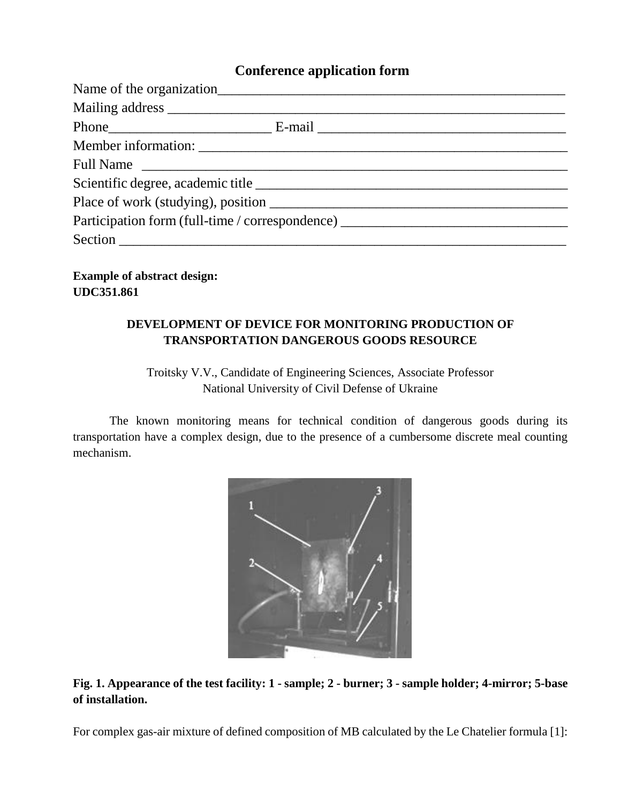# **Conference application form**

| Full Name                                                                        |  |
|----------------------------------------------------------------------------------|--|
|                                                                                  |  |
|                                                                                  |  |
| Participation form (full-time / correspondence) ________________________________ |  |
|                                                                                  |  |

**Example of abstract design: UDC351.861**

# **DEVELOPMENT OF DEVICE FOR MONITORING PRODUCTION OF TRANSPORTATION DANGEROUS GOODS RESOURCE**

# Troitsky V.V., Candidate of Engineering Sciences, Associate Professor National University of Civil Defense of Ukraine

The known monitoring means for technical condition of dangerous goods during its transportation have a complex design, due to the presence of a cumbersome discrete meal counting mechanism.



#### **Fig. 1. Appearance of the test facility: 1 - sample; 2 - burner; 3 - sample holder; 4-mirror; 5-base of installation.**

For complex gas-air mixture of defined composition of MB calculated by the Le Chatelier formula [1]: